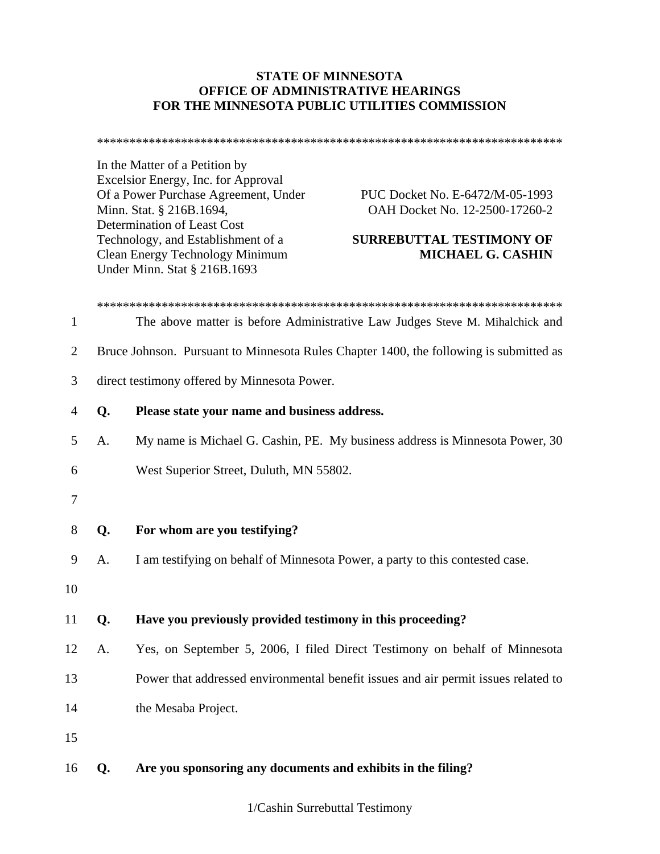## **STATE OF MINNESOTA OFFICE OF ADMINISTRATIVE HEARINGS FOR THE MINNESOTA PUBLIC UTILITIES COMMISSION**

\*\*\*\*\*\*\*\*\*\*\*\*\*\*\*\*\*\*\*\*\*\*\*\*\*\*\*\*\*\*\*\*\*\*\*\*\*\*\*\*\*\*\*\*\*\*\*\*\*\*\*\*\*\*\*\*\*\*\*\*\*\*\*\*\*\*\*\*\*\*\*\*

In the Matter of a Petition by Excelsior Energy, Inc. for Approval Of a Power Purchase Agreement, Under PUC Docket No. E-6472/M-05-1993 Minn. Stat. § 216B.1694, OAH Docket No. 12-2500-17260-2 Determination of Least Cost Technology, and Establishment of a **SURREBUTTAL TESTIMONY OF**  Clean Energy Technology Minimum **MICHAEL G. CASHIN**  Under Minn. Stat § 216B.1693

\*\*\*\*\*\*\*\*\*\*\*\*\*\*\*\*\*\*\*\*\*\*\*\*\*\*\*\*\*\*\*\*\*\*\*\*\*\*\*\*\*\*\*\*\*\*\*\*\*\*\*\*\*\*\*\*\*\*\*\*\*\*\*\*\*\*\*\*\*\*\*\* 1 The above matter is before Administrative Law Judges Steve M. Mihalchick and 2 Bruce Johnson. Pursuant to Minnesota Rules Chapter 1400, the following is submitted as 3 direct testimony offered by Minnesota Power. 4 **Q. Please state your name and business address.**  5 A. My name is Michael G. Cashin, PE. My business address is Minnesota Power, 30 6 West Superior Street, Duluth, MN 55802. 7 8 **Q. For whom are you testifying?**  9 A. I am testifying on behalf of Minnesota Power, a party to this contested case. 10 11 **Q. Have you previously provided testimony in this proceeding?**  12 A. Yes, on September 5, 2006, I filed Direct Testimony on behalf of Minnesota 13 Power that addressed environmental benefit issues and air permit issues related to 14 the Mesaba Project. 15 16 **Q. Are you sponsoring any documents and exhibits in the filing?**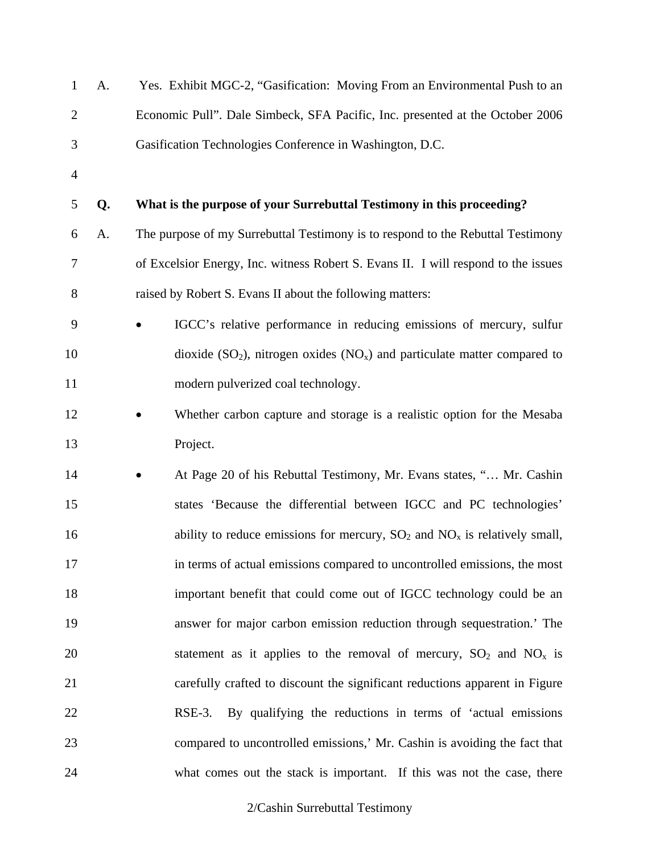| $\mathbf{1}$   | A. | Yes. Exhibit MGC-2, "Gasification: Moving From an Environmental Push to an         |
|----------------|----|------------------------------------------------------------------------------------|
| $\overline{2}$ |    | Economic Pull". Dale Simbeck, SFA Pacific, Inc. presented at the October 2006      |
| 3              |    | Gasification Technologies Conference in Washington, D.C.                           |
| $\overline{4}$ |    |                                                                                    |
| 5              | Q. | What is the purpose of your Surrebuttal Testimony in this proceeding?              |
| 6              | A. | The purpose of my Surrebuttal Testimony is to respond to the Rebuttal Testimony    |
| 7              |    | of Excelsior Energy, Inc. witness Robert S. Evans II. I will respond to the issues |
| 8              |    | raised by Robert S. Evans II about the following matters:                          |
| 9              |    | IGCC's relative performance in reducing emissions of mercury, sulfur               |
| 10             |    | dioxide $(SO_2)$ , nitrogen oxides $(NO_x)$ and particulate matter compared to     |
| 11             |    | modern pulverized coal technology.                                                 |
| 12             |    | Whether carbon capture and storage is a realistic option for the Mesaba            |
| 13             |    | Project.                                                                           |
| 14             |    | At Page 20 of his Rebuttal Testimony, Mr. Evans states, " Mr. Cashin               |
| 15             |    | states 'Because the differential between IGCC and PC technologies'                 |
| 16             |    | ability to reduce emissions for mercury, $SO_2$ and $NO_x$ is relatively small,    |
| 17             |    | in terms of actual emissions compared to uncontrolled emissions, the most          |
| 18             |    | important benefit that could come out of IGCC technology could be an               |
| 19             |    | answer for major carbon emission reduction through sequestration.' The             |
| 20             |    | statement as it applies to the removal of mercury, $SO_2$ and $NO_x$ is            |
| 21             |    | carefully crafted to discount the significant reductions apparent in Figure        |
| 22             |    | RSE-3. By qualifying the reductions in terms of 'actual emissions'                 |
| 23             |    | compared to uncontrolled emissions,' Mr. Cashin is avoiding the fact that          |
| 24             |    | what comes out the stack is important. If this was not the case, there             |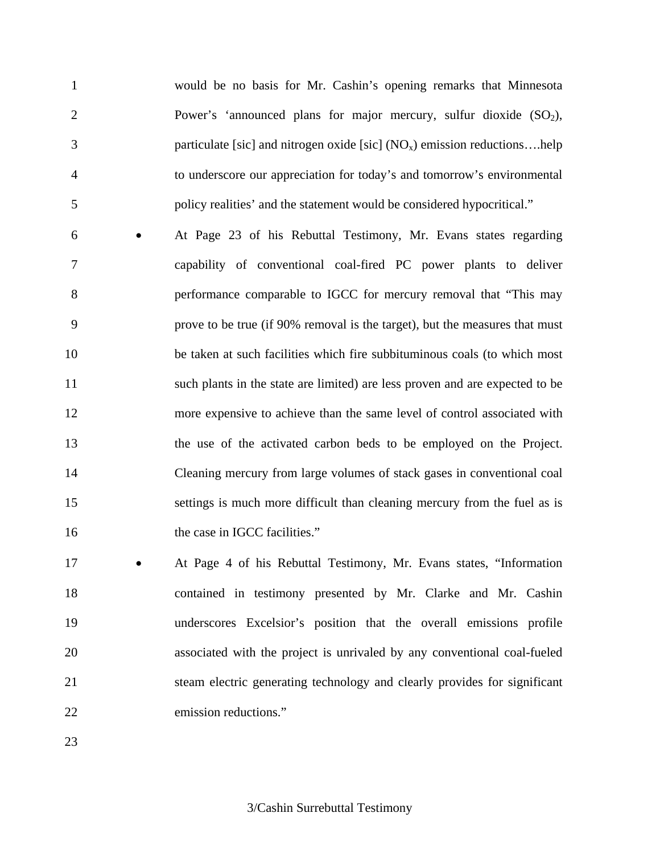1 would be no basis for Mr. Cashin's opening remarks that Minnesota 2 Power's 'announced plans for major mercury, sulfur dioxide  $(SO<sub>2</sub>)$ , 3 particulate [sic] and nitrogen oxide [sic]  $(NO_x)$  emission reductions....help 4 to underscore our appreciation for today's and tomorrow's environmental 5 policy realities' and the statement would be considered hypocritical."

6 • At Page 23 of his Rebuttal Testimony, Mr. Evans states regarding 7 capability of conventional coal-fired PC power plants to deliver 8 performance comparable to IGCC for mercury removal that "This may 9 prove to be true (if 90% removal is the target), but the measures that must 10 be taken at such facilities which fire subbituminous coals (to which most 11 such plants in the state are limited) are less proven and are expected to be 12 more expensive to achieve than the same level of control associated with 13 the use of the activated carbon beds to be employed on the Project. 14 Cleaning mercury from large volumes of stack gases in conventional coal 15 settings is much more difficult than cleaning mercury from the fuel as is 16 the case in IGCC facilities."

17 • At Page 4 of his Rebuttal Testimony, Mr. Evans states, "Information 18 contained in testimony presented by Mr. Clarke and Mr. Cashin 19 underscores Excelsior's position that the overall emissions profile 20 associated with the project is unrivaled by any conventional coal-fueled 21 steam electric generating technology and clearly provides for significant 22 emission reductions."

23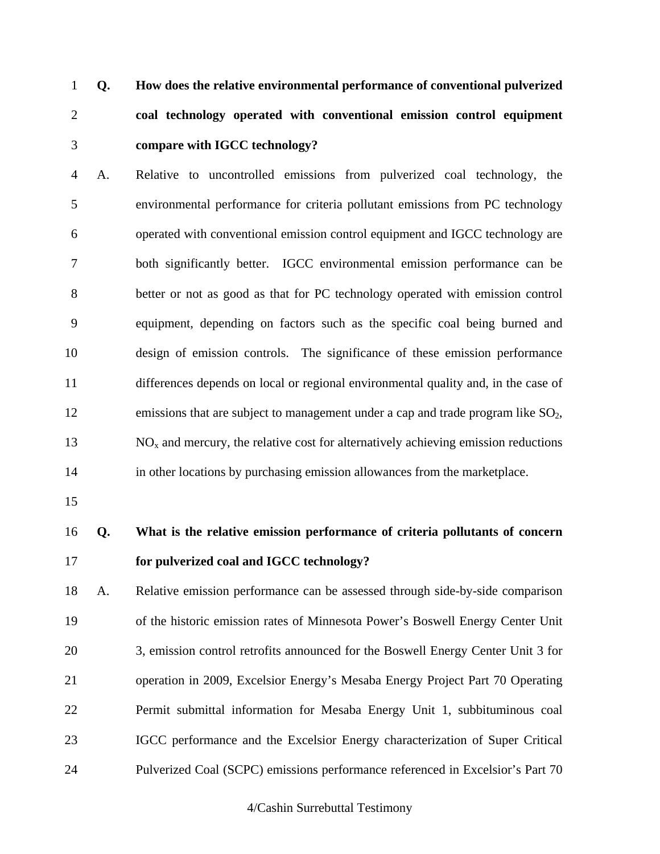1 **Q. How does the relative environmental performance of conventional pulverized**  2 **coal technology operated with conventional emission control equipment**  3 **compare with IGCC technology?** 

4 A. Relative to uncontrolled emissions from pulverized coal technology, the 5 environmental performance for criteria pollutant emissions from PC technology 6 operated with conventional emission control equipment and IGCC technology are 7 both significantly better. IGCC environmental emission performance can be 8 better or not as good as that for PC technology operated with emission control 9 equipment, depending on factors such as the specific coal being burned and 10 design of emission controls. The significance of these emission performance 11 differences depends on local or regional environmental quality and, in the case of 12 emissions that are subject to management under a cap and trade program like  $SO_2$ ,  $13$  NO<sub>x</sub> and mercury, the relative cost for alternatively achieving emission reductions 14 in other locations by purchasing emission allowances from the marketplace.

15

16 **Q. What is the relative emission performance of criteria pollutants of concern**  17 **for pulverized coal and IGCC technology?** 

18 A. Relative emission performance can be assessed through side-by-side comparison 19 of the historic emission rates of Minnesota Power's Boswell Energy Center Unit 20 3, emission control retrofits announced for the Boswell Energy Center Unit 3 for 21 operation in 2009, Excelsior Energy's Mesaba Energy Project Part 70 Operating 22 Permit submittal information for Mesaba Energy Unit 1, subbituminous coal 23 IGCC performance and the Excelsior Energy characterization of Super Critical 24 Pulverized Coal (SCPC) emissions performance referenced in Excelsior's Part 70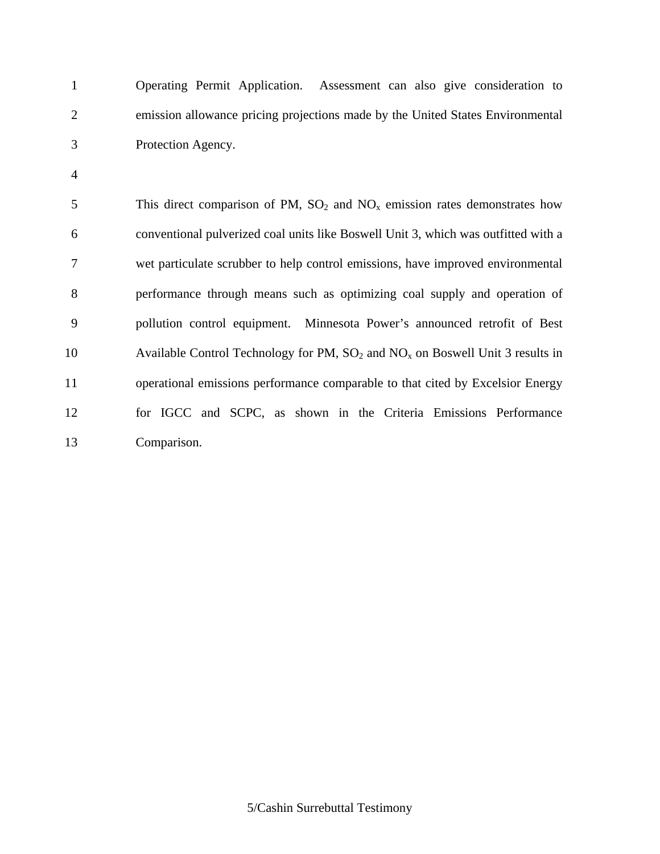1 Operating Permit Application. Assessment can also give consideration to 2 emission allowance pricing projections made by the United States Environmental 3 Protection Agency.

4

5 This direct comparison of PM,  $SO_2$  and  $NO_x$  emission rates demonstrates how 6 conventional pulverized coal units like Boswell Unit 3, which was outfitted with a 7 wet particulate scrubber to help control emissions, have improved environmental 8 performance through means such as optimizing coal supply and operation of 9 pollution control equipment. Minnesota Power's announced retrofit of Best 10 Available Control Technology for PM,  $SO_2$  and  $NO_x$  on Boswell Unit 3 results in 11 operational emissions performance comparable to that cited by Excelsior Energy 12 for IGCC and SCPC, as shown in the Criteria Emissions Performance 13 Comparison.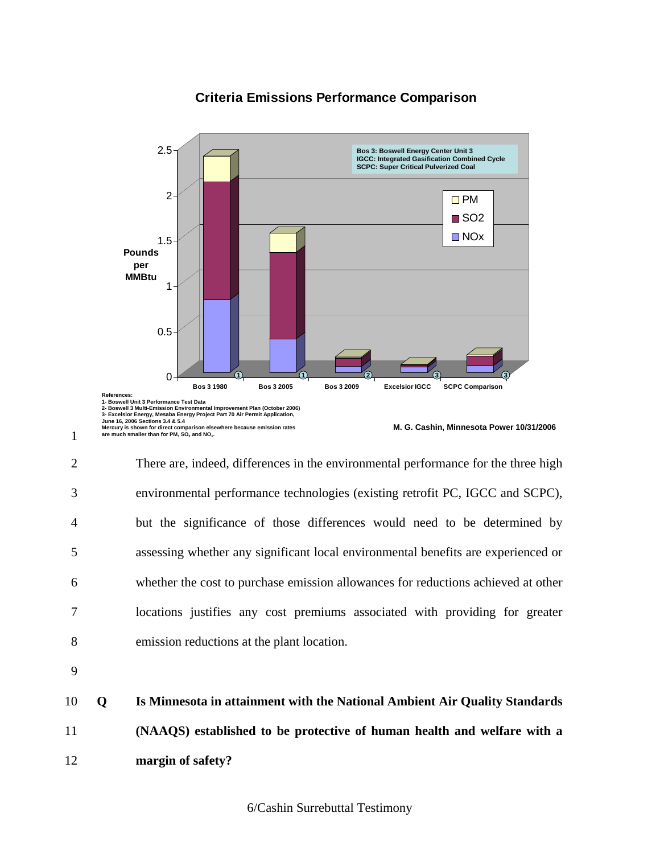## **Criteria Emissions Performance Comparison**



2 There are, indeed, differences in the environmental performance for the three high 3 environmental performance technologies (existing retrofit PC, IGCC and SCPC), 4 but the significance of those differences would need to be determined by 5 assessing whether any significant local environmental benefits are experienced or 6 whether the cost to purchase emission allowances for reductions achieved at other 7 locations justifies any cost premiums associated with providing for greater 8 emission reductions at the plant location.

9

1

10 **Q Is Minnesota in attainment with the National Ambient Air Quality Standards**  11 **(NAAQS) established to be protective of human health and welfare with a**  12 **margin of safety?**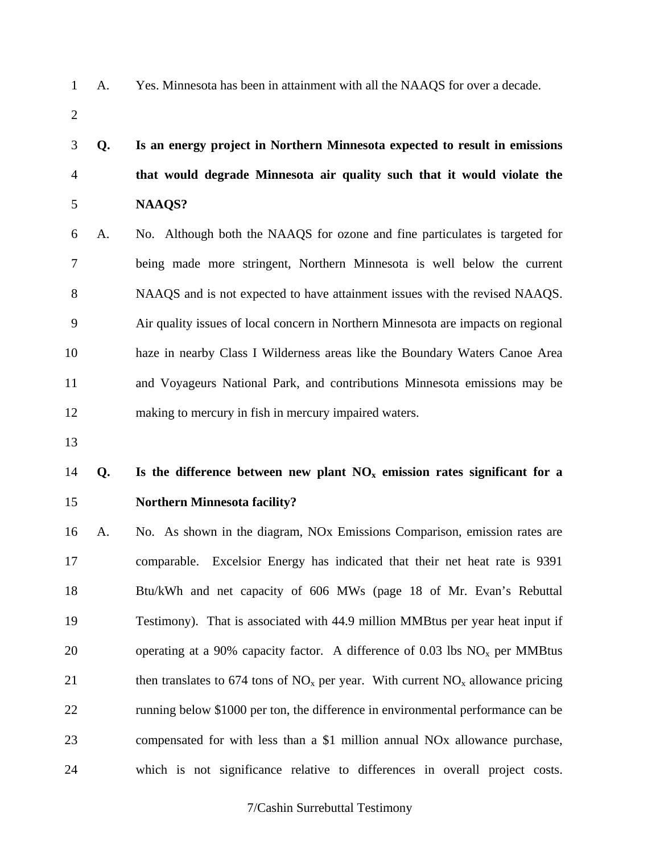2

1 A. Yes. Minnesota has been in attainment with all the NAAQS for over a decade.

3 **Q. Is an energy project in Northern Minnesota expected to result in emissions**  4 **that would degrade Minnesota air quality such that it would violate the**  5 **NAAQS?** 

6 A. No. Although both the NAAQS for ozone and fine particulates is targeted for 7 being made more stringent, Northern Minnesota is well below the current 8 NAAQS and is not expected to have attainment issues with the revised NAAQS. 9 Air quality issues of local concern in Northern Minnesota are impacts on regional 10 haze in nearby Class I Wilderness areas like the Boundary Waters Canoe Area 11 and Voyageurs National Park, and contributions Minnesota emissions may be 12 making to mercury in fish in mercury impaired waters.

13

## 14 **Q. Is the difference between new plant NOx emission rates significant for a**  15 **Northern Minnesota facility?**

16 A. No. As shown in the diagram, NOx Emissions Comparison, emission rates are 17 comparable. Excelsior Energy has indicated that their net heat rate is 9391 18 Btu/kWh and net capacity of 606 MWs (page 18 of Mr. Evan's Rebuttal 19 Testimony). That is associated with 44.9 million MMBtus per year heat input if 20 operating at a 90% capacity factor. A difference of 0.03 lbs  $NO<sub>x</sub>$  per MMBtus 21 then translates to 674 tons of  $NO<sub>x</sub>$  per year. With current  $NO<sub>x</sub>$  allowance pricing 22 running below \$1000 per ton, the difference in environmental performance can be 23 compensated for with less than a \$1 million annual NOx allowance purchase, 24 which is not significance relative to differences in overall project costs.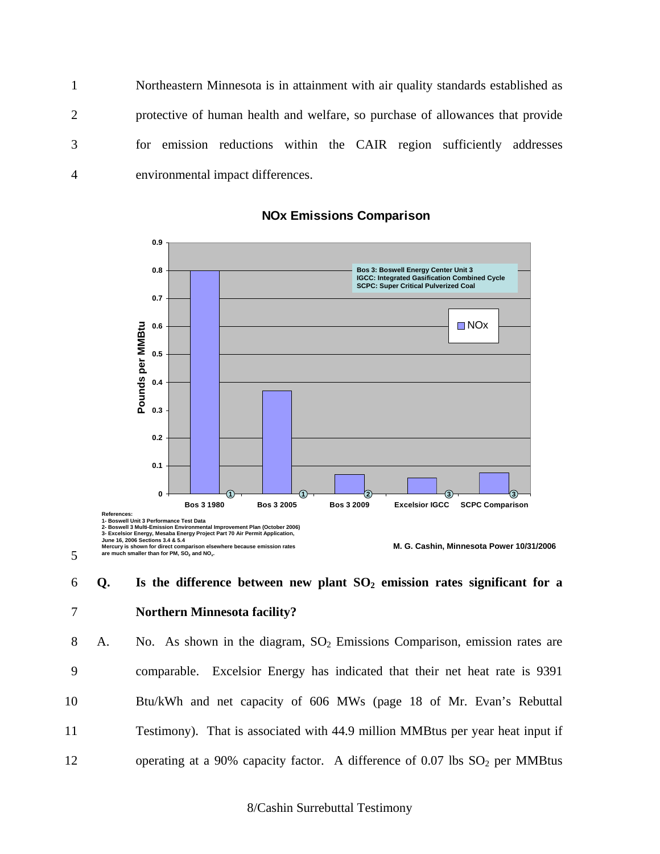1 Northeastern Minnesota is in attainment with air quality standards established as 2 protective of human health and welfare, so purchase of allowances that provide 3 for emission reductions within the CAIR region sufficiently addresses 4 environmental impact differences.



**NOx Emissions Comparison**

# 6 **Q. Is the difference between new plant SO2 emission rates significant for a**  7 **Northern Minnesota facility?**

5

8 A. No. As shown in the diagram,  $SO<sub>2</sub>$  Emissions Comparison, emission rates are 9 comparable. Excelsior Energy has indicated that their net heat rate is 9391 10 Btu/kWh and net capacity of 606 MWs (page 18 of Mr. Evan's Rebuttal 11 Testimony). That is associated with 44.9 million MMBtus per year heat input if 12 operating at a 90% capacity factor. A difference of  $0.07$  lbs  $SO<sub>2</sub>$  per MMBtus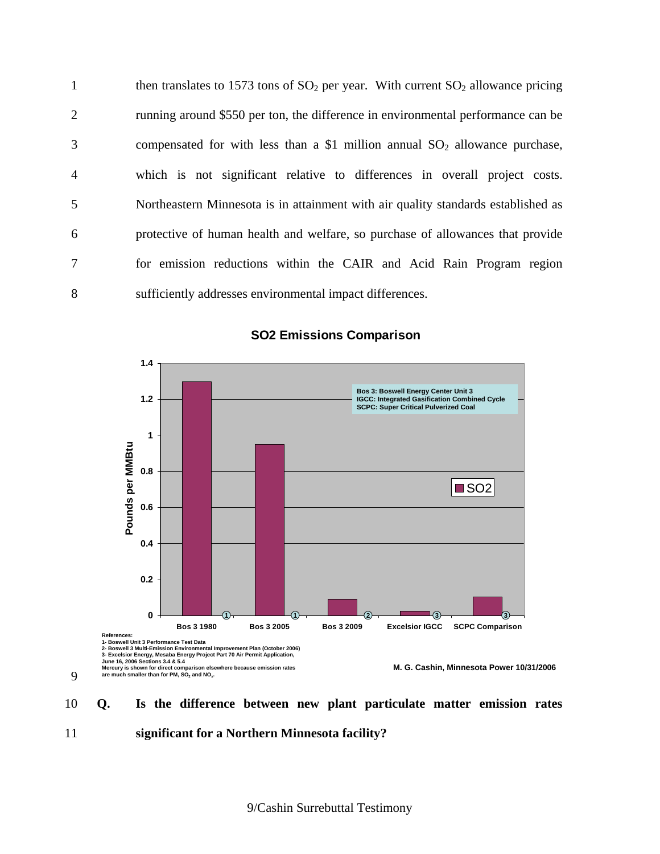1 then translates to 1573 tons of  $SO_2$  per year. With current  $SO_2$  allowance pricing 2 running around \$550 per ton, the difference in environmental performance can be 3 compensated for with less than a \$1 million annual  $SO_2$  allowance purchase, 4 which is not significant relative to differences in overall project costs. 5 Northeastern Minnesota is in attainment with air quality standards established as 6 protective of human health and welfare, so purchase of allowances that provide 7 for emission reductions within the CAIR and Acid Rain Program region 8 sufficiently addresses environmental impact differences.



## **SO2 Emissions Comparison**

10 **Q. Is the difference between new plant particulate matter emission rates**  11 **significant for a Northern Minnesota facility?** 

9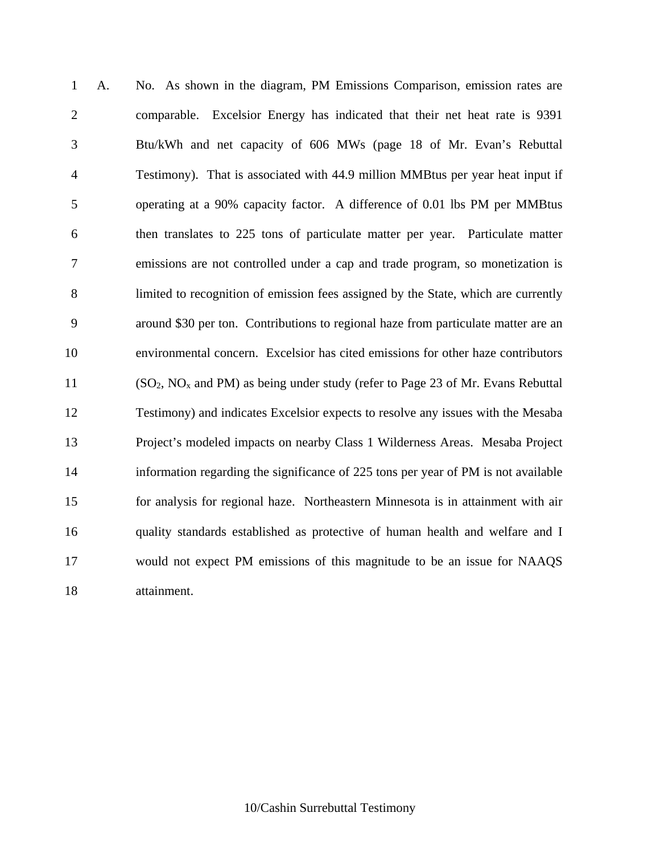1 A. No. As shown in the diagram, PM Emissions Comparison, emission rates are 2 comparable. Excelsior Energy has indicated that their net heat rate is 9391 3 Btu/kWh and net capacity of 606 MWs (page 18 of Mr. Evan's Rebuttal 4 Testimony). That is associated with 44.9 million MMBtus per year heat input if 5 operating at a 90% capacity factor. A difference of 0.01 lbs PM per MMBtus 6 then translates to 225 tons of particulate matter per year. Particulate matter 7 emissions are not controlled under a cap and trade program, so monetization is 8 limited to recognition of emission fees assigned by the State, which are currently 9 around \$30 per ton. Contributions to regional haze from particulate matter are an 10 environmental concern. Excelsior has cited emissions for other haze contributors 11 ( $SO_2$ ,  $NO_x$  and PM) as being under study (refer to Page 23 of Mr. Evans Rebuttal 12 Testimony) and indicates Excelsior expects to resolve any issues with the Mesaba 13 Project's modeled impacts on nearby Class 1 Wilderness Areas. Mesaba Project 14 information regarding the significance of 225 tons per year of PM is not available 15 for analysis for regional haze. Northeastern Minnesota is in attainment with air 16 quality standards established as protective of human health and welfare and I 17 would not expect PM emissions of this magnitude to be an issue for NAAQS 18 attainment.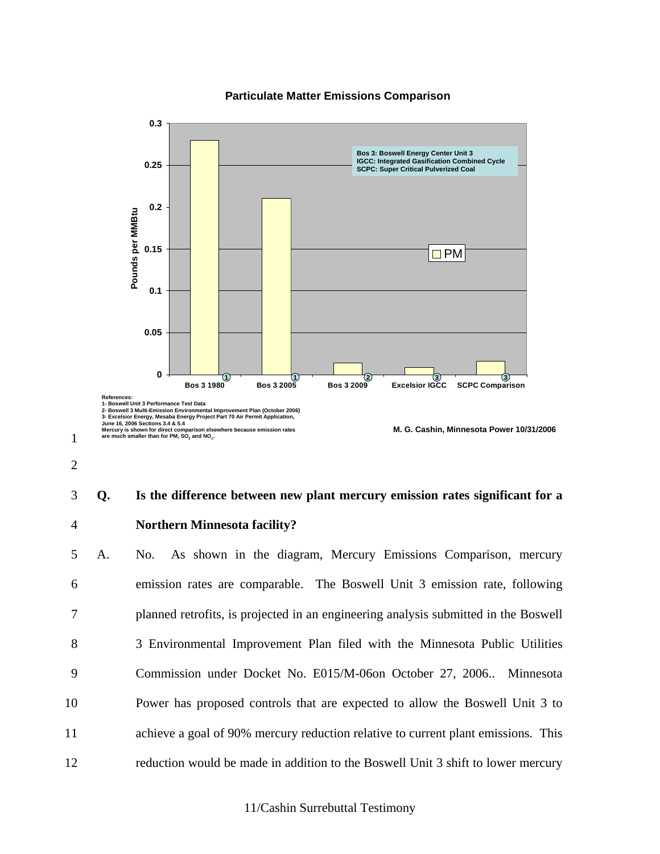### **Particulate Matter Emissions Comparison**



2

1

## 3 **Q. Is the difference between new plant mercury emission rates significant for a**  4 **Northern Minnesota facility?**

5 A. No. As shown in the diagram, Mercury Emissions Comparison, mercury 6 emission rates are comparable. The Boswell Unit 3 emission rate, following 7 planned retrofits, is projected in an engineering analysis submitted in the Boswell 8 3 Environmental Improvement Plan filed with the Minnesota Public Utilities 9 Commission under Docket No. E015/M-06on October 27, 2006.. Minnesota 10 Power has proposed controls that are expected to allow the Boswell Unit 3 to 11 achieve a goal of 90% mercury reduction relative to current plant emissions. This 12 reduction would be made in addition to the Boswell Unit 3 shift to lower mercury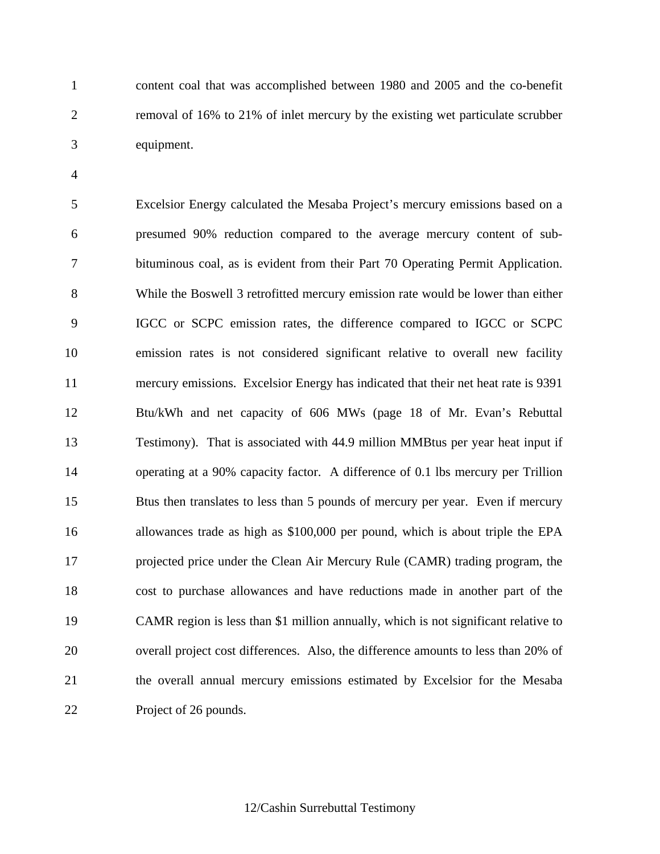1 content coal that was accomplished between 1980 and 2005 and the co-benefit 2 removal of 16% to 21% of inlet mercury by the existing wet particulate scrubber 3 equipment.

4

5 Excelsior Energy calculated the Mesaba Project's mercury emissions based on a 6 presumed 90% reduction compared to the average mercury content of sub-7 bituminous coal, as is evident from their Part 70 Operating Permit Application. 8 While the Boswell 3 retrofitted mercury emission rate would be lower than either 9 IGCC or SCPC emission rates, the difference compared to IGCC or SCPC 10 emission rates is not considered significant relative to overall new facility 11 mercury emissions. Excelsior Energy has indicated that their net heat rate is 9391 12 Btu/kWh and net capacity of 606 MWs (page 18 of Mr. Evan's Rebuttal 13 Testimony). That is associated with 44.9 million MMBtus per year heat input if 14 operating at a 90% capacity factor. A difference of 0.1 lbs mercury per Trillion 15 Btus then translates to less than 5 pounds of mercury per year. Even if mercury 16 allowances trade as high as \$100,000 per pound, which is about triple the EPA 17 projected price under the Clean Air Mercury Rule (CAMR) trading program, the 18 cost to purchase allowances and have reductions made in another part of the 19 CAMR region is less than \$1 million annually, which is not significant relative to 20 overall project cost differences. Also, the difference amounts to less than 20% of 21 the overall annual mercury emissions estimated by Excelsior for the Mesaba 22 Project of 26 pounds.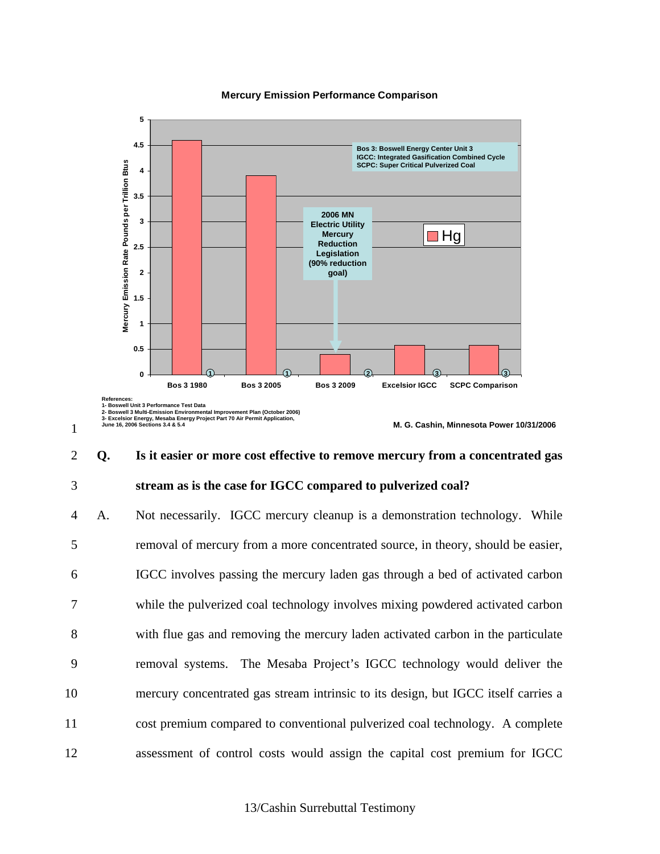### **Mercury Emission Performance Comparison**



## 2 **Q. Is it easier or more cost effective to remove mercury from a concentrated gas**  3 **stream as is the case for IGCC compared to pulverized coal?**

4 A. Not necessarily. IGCC mercury cleanup is a demonstration technology. While 5 removal of mercury from a more concentrated source, in theory, should be easier, 6 IGCC involves passing the mercury laden gas through a bed of activated carbon 7 while the pulverized coal technology involves mixing powdered activated carbon 8 with flue gas and removing the mercury laden activated carbon in the particulate 9 removal systems. The Mesaba Project's IGCC technology would deliver the 10 mercury concentrated gas stream intrinsic to its design, but IGCC itself carries a 11 cost premium compared to conventional pulverized coal technology. A complete 12 assessment of control costs would assign the capital cost premium for IGCC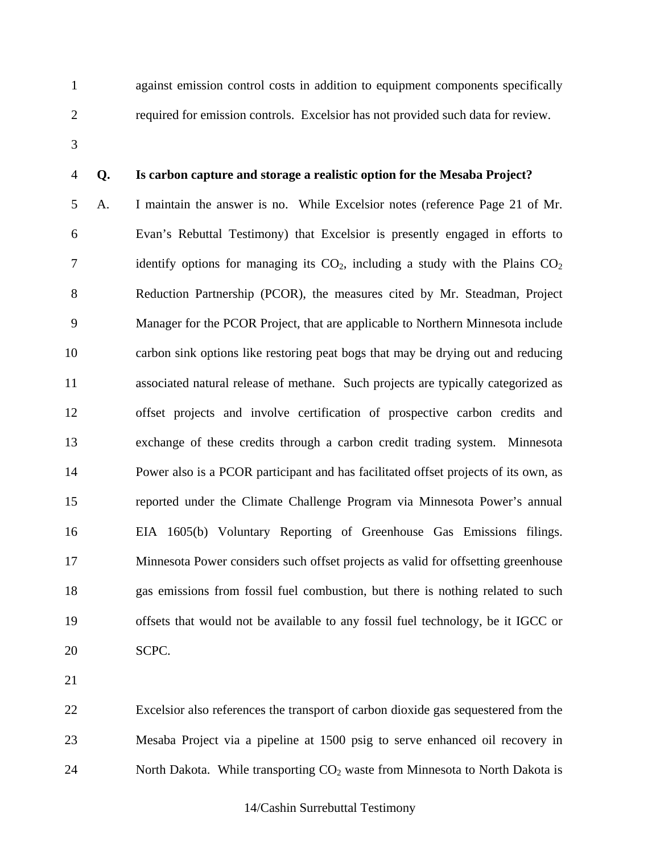1 against emission control costs in addition to equipment components specifically 2 required for emission controls. Excelsior has not provided such data for review.

3

## 4 **Q. Is carbon capture and storage a realistic option for the Mesaba Project?**

5 A. I maintain the answer is no. While Excelsior notes (reference Page 21 of Mr. 6 Evan's Rebuttal Testimony) that Excelsior is presently engaged in efforts to 7 identify options for managing its  $CO<sub>2</sub>$ , including a study with the Plains  $CO<sub>2</sub>$ 8 Reduction Partnership (PCOR), the measures cited by Mr. Steadman, Project 9 Manager for the PCOR Project, that are applicable to Northern Minnesota include 10 carbon sink options like restoring peat bogs that may be drying out and reducing 11 associated natural release of methane. Such projects are typically categorized as 12 offset projects and involve certification of prospective carbon credits and 13 exchange of these credits through a carbon credit trading system. Minnesota 14 Power also is a PCOR participant and has facilitated offset projects of its own, as 15 reported under the Climate Challenge Program via Minnesota Power's annual 16 EIA 1605(b) Voluntary Reporting of Greenhouse Gas Emissions filings. 17 Minnesota Power considers such offset projects as valid for offsetting greenhouse 18 gas emissions from fossil fuel combustion, but there is nothing related to such 19 offsets that would not be available to any fossil fuel technology, be it IGCC or 20 SCPC.

21

22 Excelsior also references the transport of carbon dioxide gas sequestered from the 23 Mesaba Project via a pipeline at 1500 psig to serve enhanced oil recovery in 24 North Dakota. While transporting  $CO<sub>2</sub>$  waste from Minnesota to North Dakota is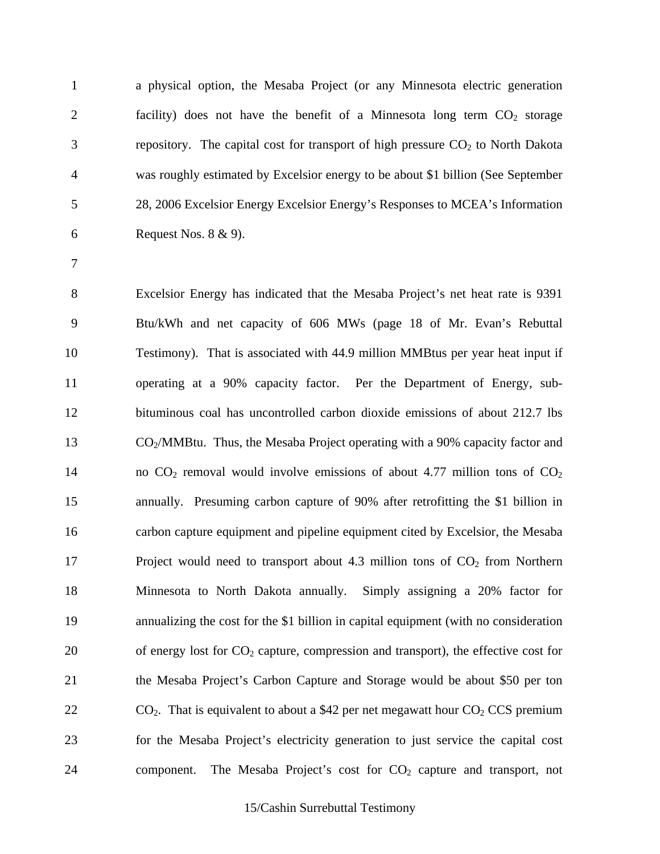1 a physical option, the Mesaba Project (or any Minnesota electric generation 2 facility) does not have the benefit of a Minnesota long term  $CO<sub>2</sub>$  storage 3 repository. The capital cost for transport of high pressure  $CO<sub>2</sub>$  to North Dakota 4 was roughly estimated by Excelsior energy to be about \$1 billion (See September 5 28, 2006 Excelsior Energy Excelsior Energy's Responses to MCEA's Information 6 Request Nos. 8 & 9).

7

8 Excelsior Energy has indicated that the Mesaba Project's net heat rate is 9391 9 Btu/kWh and net capacity of 606 MWs (page 18 of Mr. Evan's Rebuttal 10 Testimony). That is associated with 44.9 million MMBtus per year heat input if 11 operating at a 90% capacity factor. Per the Department of Energy, sub-12 bituminous coal has uncontrolled carbon dioxide emissions of about 212.7 lbs 13 CO2/MMBtu. Thus, the Mesaba Project operating with a 90% capacity factor and 14 no  $CO_2$  removal would involve emissions of about 4.77 million tons of  $CO_2$ 15 annually. Presuming carbon capture of 90% after retrofitting the \$1 billion in 16 carbon capture equipment and pipeline equipment cited by Excelsior, the Mesaba 17 Project would need to transport about 4.3 million tons of CO<sub>2</sub> from Northern 18 Minnesota to North Dakota annually. Simply assigning a 20% factor for 19 annualizing the cost for the \$1 billion in capital equipment (with no consideration 20 of energy lost for  $CO<sub>2</sub>$  capture, compression and transport), the effective cost for 21 the Mesaba Project's Carbon Capture and Storage would be about \$50 per ton 22  $CO<sub>2</sub>$ . That is equivalent to about a \$42 per net megawatt hour  $CO<sub>2</sub>$  CCS premium 23 for the Mesaba Project's electricity generation to just service the capital cost 24 component. The Mesaba Project's cost for CO<sub>2</sub> capture and transport, not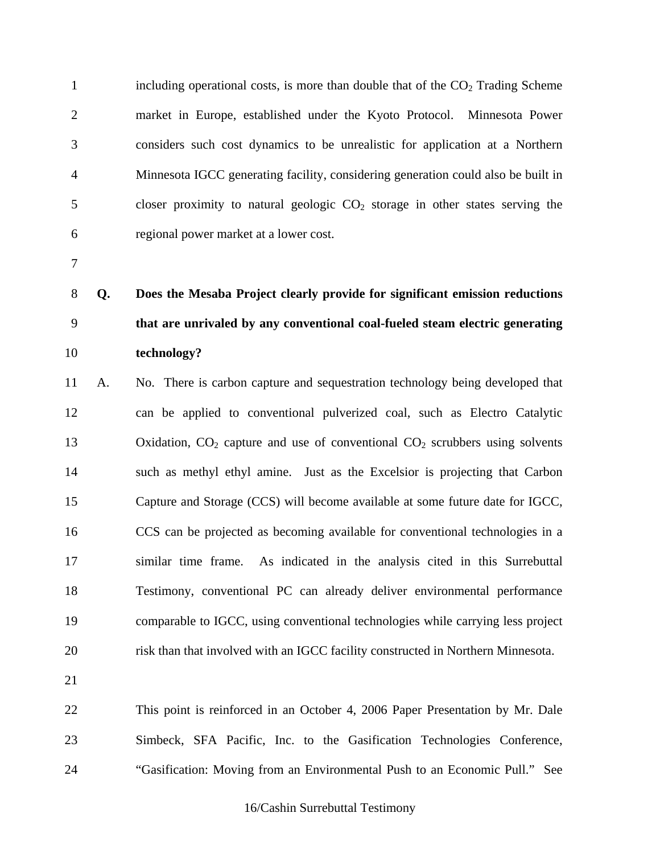1 including operational costs, is more than double that of the  $CO<sub>2</sub>$  Trading Scheme 2 market in Europe, established under the Kyoto Protocol. Minnesota Power 3 considers such cost dynamics to be unrealistic for application at a Northern 4 Minnesota IGCC generating facility, considering generation could also be built in 5 closer proximity to natural geologic CO<sub>2</sub> storage in other states serving the 6 regional power market at a lower cost.

7

# 8 **Q. Does the Mesaba Project clearly provide for significant emission reductions**  9 **that are unrivaled by any conventional coal-fueled steam electric generating**  10 **technology?**

- 11 A. No. There is carbon capture and sequestration technology being developed that 12 can be applied to conventional pulverized coal, such as Electro Catalytic 13 Oxidation,  $CO<sub>2</sub>$  capture and use of conventional  $CO<sub>2</sub>$  scrubbers using solvents 14 such as methyl ethyl amine. Just as the Excelsior is projecting that Carbon 15 Capture and Storage (CCS) will become available at some future date for IGCC, 16 CCS can be projected as becoming available for conventional technologies in a 17 similar time frame. As indicated in the analysis cited in this Surrebuttal 18 Testimony, conventional PC can already deliver environmental performance 19 comparable to IGCC, using conventional technologies while carrying less project 20 risk than that involved with an IGCC facility constructed in Northern Minnesota.
- 21

22 This point is reinforced in an October 4, 2006 Paper Presentation by Mr. Dale 23 Simbeck, SFA Pacific, Inc. to the Gasification Technologies Conference, 24 "Gasification: Moving from an Environmental Push to an Economic Pull." See